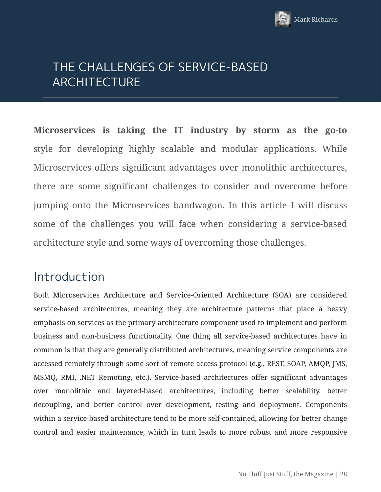

# THE CHALLENGES OF SERVICE-BASED ARCHITECTURE

**Microservices is taking the IT industry by storm as the go-to** style for developing highly scalable and modular applications. While Microservices offers significant advantages over monolithic architectures, there are some significant challenges to consider and overcome before jumping onto the Microservices bandwagon. In this article I will discuss some of the challenges you will face when considering a service-based architecture style and some ways of overcoming those challenges.

### Introduction

Both Microservices Architecture and Service-Oriented Architecture (SOA) are considered service-based architectures, meaning they are architecture patterns that place a heavy emphasis on services as the primary architecture component used to implement and perform business and non-business functionality. One thing all service-based architectures have in common is that they are generally distributed architectures, meaning service components are accessed remotely through some sort of remote access protocol (e.g., REST, SOAP, AMQP, JMS, MSMQ, RMI, .NET Remoting, etc.). Service-based architectures offer significant advantages over monolithic and layered-based architectures, including better scalability, better decoupling, and better control over development, testing and deployment. Components within a service-based architecture tend to be more self-contained, allowing for better change control and easier maintenance, which in turn leads to more robust and more responsive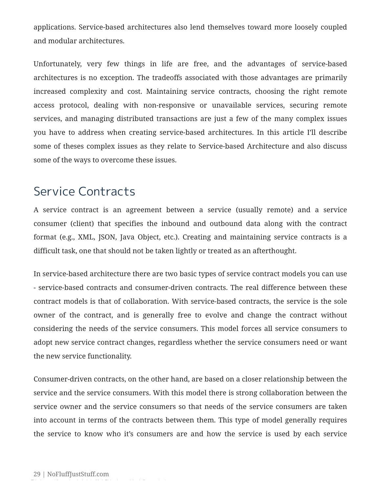applications. Service-based architectures also lend themselves toward more loosely coupled and modular architectures.

Unfortunately, very few things in life are free, and the advantages of service-based architectures is no exception. The tradeoffs associated with those advantages are primarily increased complexity and cost. Maintaining service contracts, choosing the right remote access protocol, dealing with non-responsive or unavailable services, securing remote services, and managing distributed transactions are just a few of the many complex issues you have to address when creating service-based architectures. In this article I'll describe some of theses complex issues as they relate to Service-based Architecture and also discuss some of the ways to overcome these issues.

#### Service Contracts

A service contract is an agreement between a service (usually remote) and a service consumer (client) that specifies the inbound and outbound data along with the contract format (e.g., XML, JSON, Java Object, etc.). Creating and maintaining service contracts is a difficult task, one that should not be taken lightly or treated as an afterthought.

In service-based architecture there are two basic types of service contract models you can use - service-based contracts and consumer-driven contracts. The real difference between these contract models is that of collaboration. With service-based contracts, the service is the sole owner of the contract, and is generally free to evolve and change the contract without considering the needs of the service consumers. This model forces all service consumers to adopt new service contract changes, regardless whether the service consumers need or want the new service functionality.

Consumer-driven contracts, on the other hand, are based on a closer relationship between the service and the service consumers. With this model there is strong collaboration between the service owner and the service consumers so that needs of the service consumers are taken into account in terms of the contracts between them. This type of model generally requires the service to know who it's consumers are and how the service is used by each service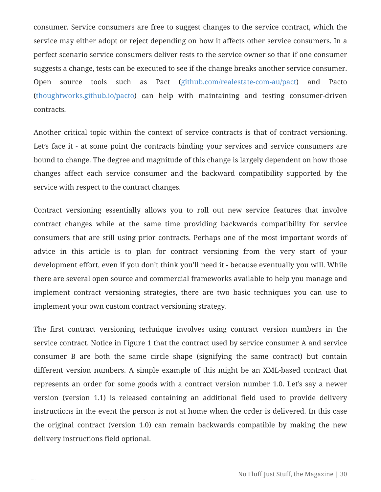consumer. Service consumers are free to suggest changes to the service contract, which the service may either adopt or reject depending on how it affects other service consumers. In a perfect scenario service consumers deliver tests to the service owner so that if one consumer suggests a change, tests can be executed to see if the change breaks another service consumer. Open source tools such as Pact (github.com/realestate-com-au/pact) and Pacto (thoughtworks.github.io/pacto) can help with maintaining and testing consumer-driven contracts.

Another critical topic within the context of service contracts is that of contract versioning. Let's face it - at some point the contracts binding your services and service consumers are bound to change. The degree and magnitude of this change is largely dependent on how those changes affect each service consumer and the backward compatibility supported by the service with respect to the contract changes.

Contract versioning essentially allows you to roll out new service features that involve contract changes while at the same time providing backwards compatibility for service consumers that are still using prior contracts. Perhaps one of the most important words of advice in this article is to plan for contract versioning from the very start of your development effort, even if you don't think you'll need it - because eventually you will. While there are several open source and commercial frameworks available to help you manage and implement contract versioning strategies, there are two basic techniques you can use to implement your own custom contract versioning strategy.

The first contract versioning technique involves using contract version numbers in the service contract. Notice in Figure 1 that the contract used by service consumer A and service consumer B are both the same circle shape (signifying the same contract) but contain different version numbers. A simple example of this might be an XML-based contract that represents an order for some goods with a contract version number 1.0. Let's say a newer version (version 1.1) is released containing an additional field used to provide delivery instructions in the event the person is not at home when the order is delivered. In this case the original contract (version 1.0) can remain backwards compatible by making the new delivery instructions field optional.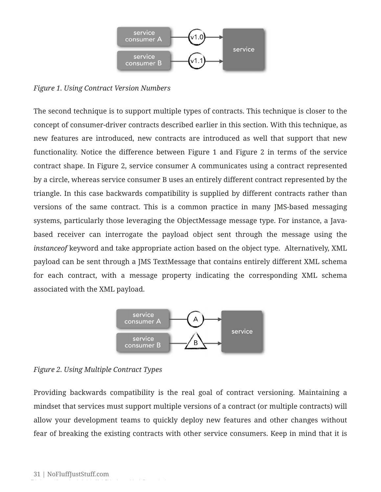

*Figure 1. Using Contract Version Numbers*

The second technique is to support multiple types of contracts. This technique is closer to the concept of consumer-driver contracts described earlier in this section. With this technique, as new features are introduced, new contracts are introduced as well that support that new functionality. Notice the difference between Figure 1 and Figure 2 in terms of the service contract shape. In Figure 2, service consumer A communicates using a contract represented by a circle, whereas service consumer B uses an entirely different contract represented by the triangle. In this case backwards compatibility is supplied by different contracts rather than versions of the same contract. This is a common practice in many JMS-based messaging systems, particularly those leveraging the ObjectMessage message type. For instance, a Javabased receiver can interrogate the payload object sent through the message using the *instanceof* keyword and take appropriate action based on the object type. Alternatively, XML payload can be sent through a JMS TextMessage that contains entirely different XML schema for each contract, with a message property indicating the corresponding XML schema associated with the XML payload.



*Figure 2. Using Multiple Contract Types*

Providing backwards compatibility is the real goal of contract versioning. Maintaining a mindset that services must support multiple versions of a contract (or multiple contracts) will allow your development teams to quickly deploy new features and other changes without fear of breaking the existing contracts with other service consumers. Keep in mind that it is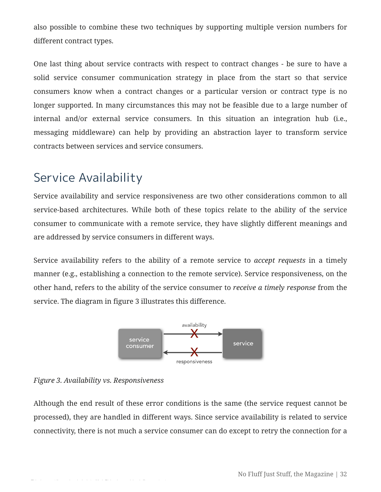also possible to combine these two techniques by supporting multiple version numbers for different contract types.

One last thing about service contracts with respect to contract changes - be sure to have a solid service consumer communication strategy in place from the start so that service consumers know when a contract changes or a particular version or contract type is no longer supported. In many circumstances this may not be feasible due to a large number of internal and/or external service consumers. In this situation an integration hub (i.e., messaging middleware) can help by providing an abstraction layer to transform service contracts between services and service consumers.

## Service Availability

Service availability and service responsiveness are two other considerations common to all service-based architectures. While both of these topics relate to the ability of the service consumer to communicate with a remote service, they have slightly different meanings and are addressed by service consumers in different ways.

Service availability refers to the ability of a remote service to *accept requests* in a timely manner (e.g., establishing a connection to the remote service). Service responsiveness, on the other hand, refers to the ability of the service consumer to *receive a timely response* from the service. The diagram in figure 3 illustrates this difference.





Although the end result of these error conditions is the same (the service request cannot be processed), they are handled in different ways. Since service availability is related to service connectivity, there is not much a service consumer can do except to retry the connection for a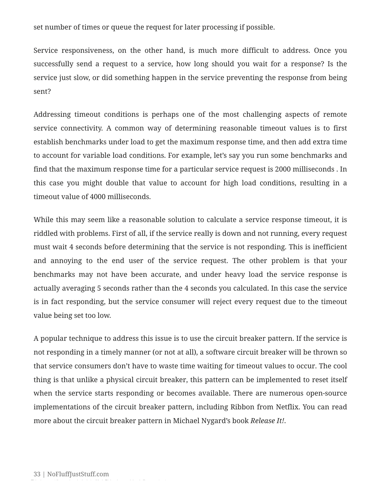set number of times or queue the request for later processing if possible.

Service responsiveness, on the other hand, is much more difficult to address. Once you successfully send a request to a service, how long should you wait for a response? Is the service just slow, or did something happen in the service preventing the response from being sent?

Addressing timeout conditions is perhaps one of the most challenging aspects of remote service connectivity. A common way of determining reasonable timeout values is to first establish benchmarks under load to get the maximum response time, and then add extra time to account for variable load conditions. For example, let's say you run some benchmarks and find that the maximum response time for a particular service request is 2000 milliseconds . In this case you might double that value to account for high load conditions, resulting in a timeout value of 4000 milliseconds.

While this may seem like a reasonable solution to calculate a service response timeout, it is riddled with problems. First of all, if the service really is down and not running, every request must wait 4 seconds before determining that the service is not responding. This is inefficient and annoying to the end user of the service request. The other problem is that your benchmarks may not have been accurate, and under heavy load the service response is actually averaging 5 seconds rather than the 4 seconds you calculated. In this case the service is in fact responding, but the service consumer will reject every request due to the timeout value being set too low.

A popular technique to address this issue is to use the circuit breaker pattern. If the service is not responding in a timely manner (or not at all), a software circuit breaker will be thrown so that service consumers don't have to waste time waiting for timeout values to occur. The cool thing is that unlike a physical circuit breaker, this pattern can be implemented to reset itself when the service starts responding or becomes available. There are numerous open-source implementations of the circuit breaker pattern, including Ribbon from Netflix. You can read more about the circuit breaker pattern in Michael Nygard's book *Release It!*.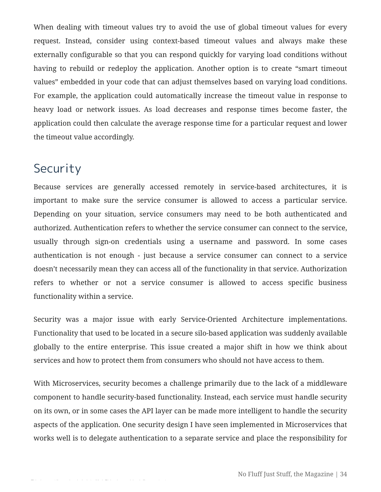When dealing with timeout values try to avoid the use of global timeout values for every request. Instead, consider using context-based timeout values and always make these externally configurable so that you can respond quickly for varying load conditions without having to rebuild or redeploy the application. Another option is to create "smart timeout values" embedded in your code that can adjust themselves based on varying load conditions. For example, the application could automatically increase the timeout value in response to heavy load or network issues. As load decreases and response times become faster, the application could then calculate the average response time for a particular request and lower the timeout value accordingly.

### Security

Because services are generally accessed remotely in service-based architectures, it is important to make sure the service consumer is allowed to access a particular service. Depending on your situation, service consumers may need to be both authenticated and authorized. Authentication refers to whether the service consumer can connect to the service, usually through sign-on credentials using a username and password. In some cases authentication is not enough - just because a service consumer can connect to a service doesn't necessarily mean they can access all of the functionality in that service. Authorization refers to whether or not a service consumer is allowed to access specific business functionality within a service.

Security was a major issue with early Service-Oriented Architecture implementations. Functionality that used to be located in a secure silo-based application was suddenly available globally to the entire enterprise. This issue created a major shift in how we think about services and how to protect them from consumers who should not have access to them.

With Microservices, security becomes a challenge primarily due to the lack of a middleware component to handle security-based functionality. Instead, each service must handle security on its own, or in some cases the API layer can be made more intelligent to handle the security aspects of the application. One security design I have seen implemented in Microservices that works well is to delegate authentication to a separate service and place the responsibility for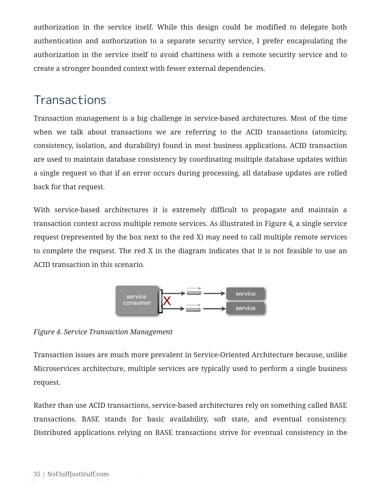authorization in the service itself. While this design could be modified to delegate both authentication and authorization to a separate security service, I prefer encapsulating the authorization in the service itself to avoid chattiness with a remote security service and to create a stronger bounded context with fewer external dependencies.

## **Transactions**

Transaction management is a big challenge in service-based architectures. Most of the time when we talk about transactions we are referring to the ACID transactions (atomicity, consistency, isolation, and durability) found in most business applications. ACID transaction are used to maintain database consistency by coordinating multiple database updates within a single request so that if an error occurs during processing, all database updates are rolled back for that request.

With service-based architectures it is extremely difficult to propagate and maintain a transaction context across multiple remote services. As illustrated in Figure 4, a single service request (represented by the box next to the red X) may need to call multiple remote services to complete the request. The red X in the diagram indicates that it is not feasible to use an ACID transaction in this scenario.



*Figure 4. Service Transaction Management*

Transaction issues are much more prevalent in Service-Oriented Architecture because, unlike Microservices architecture, multiple services are typically used to perform a single business request.

Rather than use ACID transactions, service-based architectures rely on something called BASE transactions. BASE stands for basic availability, soft state, and eventual consistency. Distributed applications relying on BASE transactions strive for eventual consistency in the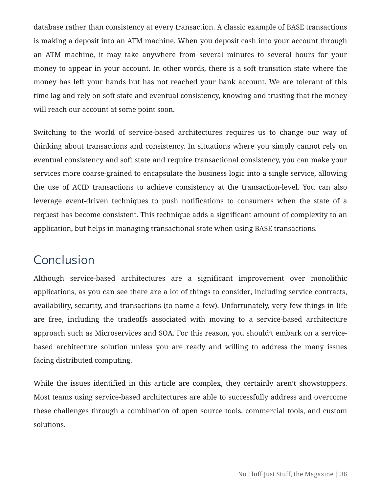database rather than consistency at every transaction. A classic example of BASE transactions is making a deposit into an ATM machine. When you deposit cash into your account through an ATM machine, it may take anywhere from several minutes to several hours for your money to appear in your account. In other words, there is a soft transition state where the money has left your hands but has not reached your bank account. We are tolerant of this time lag and rely on soft state and eventual consistency, knowing and trusting that the money will reach our account at some point soon.

Switching to the world of service-based architectures requires us to change our way of thinking about transactions and consistency. In situations where you simply cannot rely on eventual consistency and soft state and require transactional consistency, you can make your services more coarse-grained to encapsulate the business logic into a single service, allowing the use of ACID transactions to achieve consistency at the transaction-level. You can also leverage event-driven techniques to push notifications to consumers when the state of a request has become consistent. This technique adds a significant amount of complexity to an application, but helps in managing transactional state when using BASE transactions.

### Conclusion

Although service-based architectures are a significant improvement over monolithic applications, as you can see there are a lot of things to consider, including service contracts, availability, security, and transactions (to name a few). Unfortunately, very few things in life are free, including the tradeoffs associated with moving to a service-based architecture approach such as Microservices and SOA. For this reason, you should't embark on a servicebased architecture solution unless you are ready and willing to address the many issues facing distributed computing.

While the issues identified in this article are complex, they certainly aren't showstoppers. Most teams using service-based architectures are able to successfully address and overcome these challenges through a combination of open source tools, commercial tools, and custom solutions.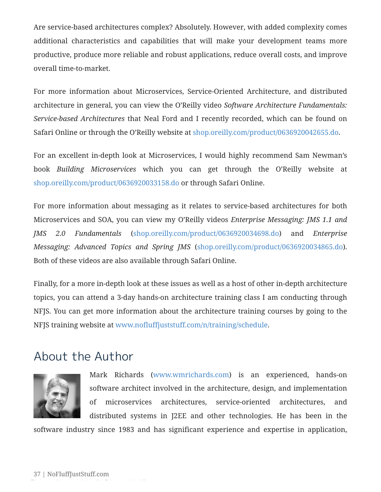Are service-based architectures complex? Absolutely. However, with added complexity comes additional characteristics and capabilities that will make your development teams more productive, produce more reliable and robust applications, reduce overall costs, and improve overall time-to-market.

For more information about Microservices, Service-Oriented Architecture, and distributed architecture in general, you can view the O'Reilly video *Software Architecture Fundamentals: Service-based Architectures* that Neal Ford and I recently recorded, which can be found on Safari Online or through the O'Reilly website at shop.oreilly.com/product/0636920042655.do.

For an excellent in-depth look at Microservices, I would highly recommend Sam Newman's book *Building Microservices* which you can get through the O'Reilly website at shop.oreilly.com/product/0636920033158.do or through Safari Online.

For more information about messaging as it relates to service-based architectures for both Microservices and SOA, you can view my O'Reilly videos *Enterprise Messaging: JMS 1.1 and JMS 2.0 Fundamentals* (shop.oreilly.com/product/0636920034698.do) and *Enterprise Messaging: Advanced Topics and Spring JMS* (shop.oreilly.com/product/0636920034865.do). Both of these videos are also available through Safari Online.

Finally, for a more in-depth look at these issues as well as a host of other in-depth architecture topics, you can attend a 3-day hands-on architecture training class I am conducting through NFJS. You can get more information about the architecture training courses by going to the NFJS training website at www.nofluffjuststuff.com/n/training/schedule.

#### About the Author



Mark Richards (www.wmrichards.com) is an experienced, hands-on software architect involved in the architecture, design, and implementation of microservices architectures, service-oriented architectures, and distributed systems in J2EE and other technologies. He has been in the

software industry since 1983 and has significant experience and expertise in application,